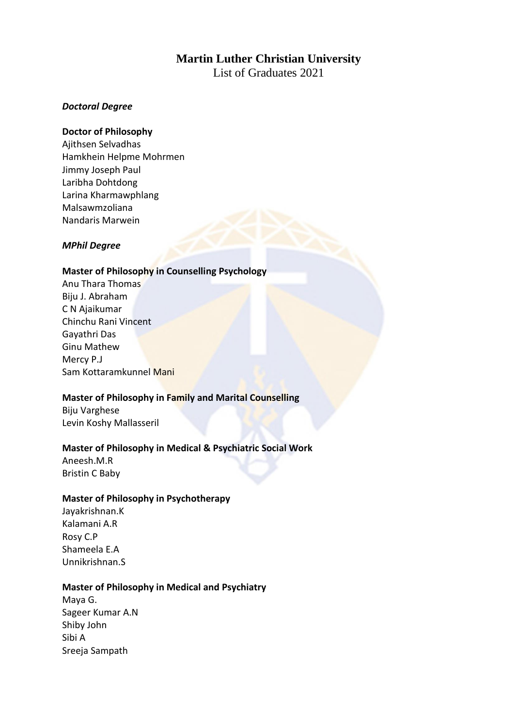# **Martin Luther Christian University**

List of Graduates 2021

# *Doctoral Degree*

# **Doctor of Philosophy**

Ajithsen Selvadhas Hamkhein Helpme Mohrmen Jimmy Joseph Paul Laribha Dohtdong Larina Kharmawphlang Malsawmzoliana Nandaris Marwein

# *MPhil Degree*

# **Master of Philosophy in Counselling Psychology**

Anu Thara Thomas Biju J. Abraham C N Ajaikumar Chinchu Rani Vincent Gayathri Das Ginu Mathew Mercy P.J Sam Kottaramkunnel Mani

# **Master of Philosophy in Family and Marital Counselling**

Biju Varghese Levin Koshy Mallasseril

# **Master of Philosophy in Medical & Psychiatric Social Work**

Aneesh.M.R Bristin C Baby

# **Master of Philosophy in Psychotherapy**

Jayakrishnan.K Kalamani A.R Rosy C.P Shameela E.A Unnikrishnan.S

# **Master of Philosophy in Medical and Psychiatry**

Maya G. Sageer Kumar A.N Shiby John Sibi A Sreeja Sampath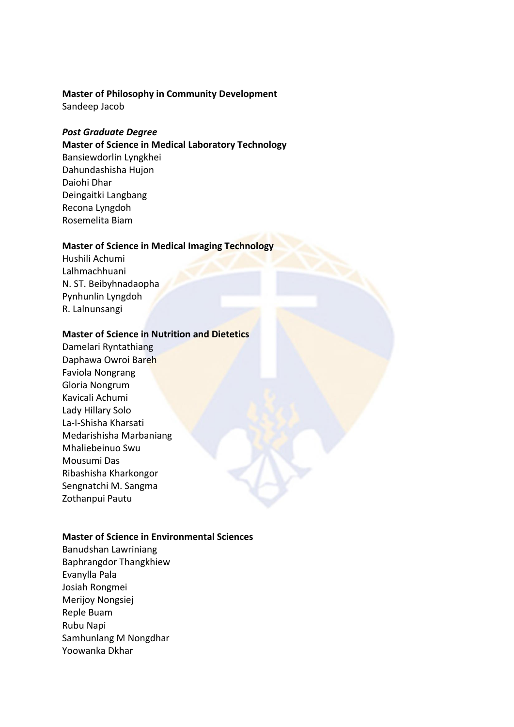# **Master of Philosophy in Community Development**

Sandeep Jacob

# *Post Graduate Degree*

**Master of Science in Medical Laboratory Technology**

Bansiewdorlin Lyngkhei Dahundashisha Hujon Daiohi Dhar Deingaitki Langbang Recona Lyngdoh Rosemelita Biam

# **Master of Science in Medical Imaging Technology**

Hushili Achumi Lalhmachhuani N. ST. Beibyhnadaopha Pynhunlin Lyngdoh R. Lalnunsangi

# **Master of Science in Nutrition and Dietetics**

Damelari Ryntathiang Daphawa Owroi Bareh Faviola Nongrang Gloria Nongrum Kavicali Achumi Lady Hillary Solo La-I-Shisha Kharsati Medarishisha Marbaniang Mhaliebeinuo Swu Mousumi Das Ribashisha Kharkongor Sengnatchi M. Sangma Zothanpui Pautu

# **Master of Science in Environmental Sciences**

Banudshan Lawriniang Baphrangdor Thangkhiew Evanylla Pala Josiah Rongmei Merijoy Nongsiej Reple Buam Rubu Napi Samhunlang M Nongdhar Yoowanka Dkhar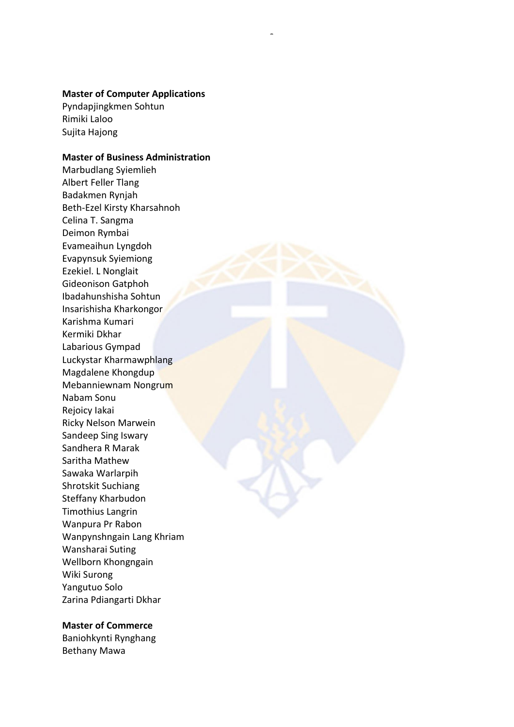#### **Master of Computer Applications**

7

Pyndapjingkmen Sohtun Rimiki Laloo Sujita Hajong

# **Master of Business Administration**

Marbudlang Syiemlieh Albert Feller Tlang Badakmen Rynjah Beth-Ezel Kirsty Kharsahnoh Celina T. Sangma Deimon Rymbai Evameaihun Lyngdoh Evapynsuk Syiemiong Ezekiel. L Nonglait Gideonison Gatphoh Ibadahunshisha Sohtun Insarishisha Kharkongor Karishma Kumari Kermiki Dkhar Labarious Gympad Luckystar Kharmawphlang Magdalene Khongdup Mebanniewnam Nongrum Nabam Sonu Rejoicy Iakai Ricky Nelson Marwein Sandeep Sing Iswary Sandhera R Marak Saritha Mathew Sawaka Warlarpih Shrotskit Suchiang Steffany Kharbudon Timothius Langrin Wanpura Pr Rabon Wanpynshngain Lang Khriam Wansharai Suting Wellborn Khongngain Wiki Surong Yangutuo Solo Zarina Pdiangarti Dkhar

#### **Master of Commerce**

Baniohkynti Rynghang Bethany Mawa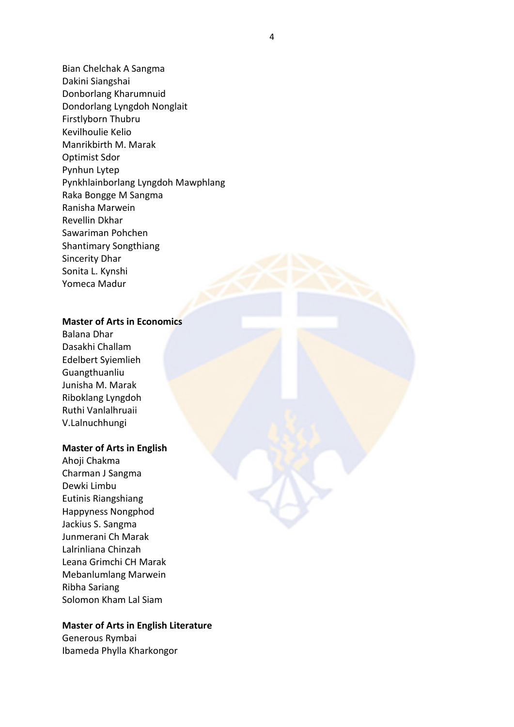Bian Chelchak A Sangma Dakini Siangshai Donborlang Kharumnuid Dondorlang Lyngdoh Nonglait Firstlyborn Thubru Kevilhoulie Kelio Manrikbirth M. Marak Optimist Sdor Pynhun Lytep Pynkhlainborlang Lyngdoh Mawphlang Raka Bongge M Sangma Ranisha Marwein Revellin Dkhar Sawariman Pohchen Shantimary Songthiang Sincerity Dhar Sonita L. Kynshi Yomeca Madur

# **Master of Arts in Economics**

Balana Dhar Dasakhi Challam Edelbert Syiemlieh Guangthuanliu Junisha M. Marak Riboklang Lyngdoh Ruthi Vanlalhruaii V.Lalnuchhungi

#### **Master of Arts in English**

Ahoji Chakma Charman J Sangma Dewki Limbu Eutinis Riangshiang Happyness Nongphod Jackius S. Sangma Junmerani Ch Marak Lalrinliana Chinzah Leana Grimchi CH Marak Mebanlumlang Marwein Ribha Sariang Solomon Kham Lal Siam

## **Master of Arts in English Literature**

Generous Rymbai Ibameda Phylla Kharkongor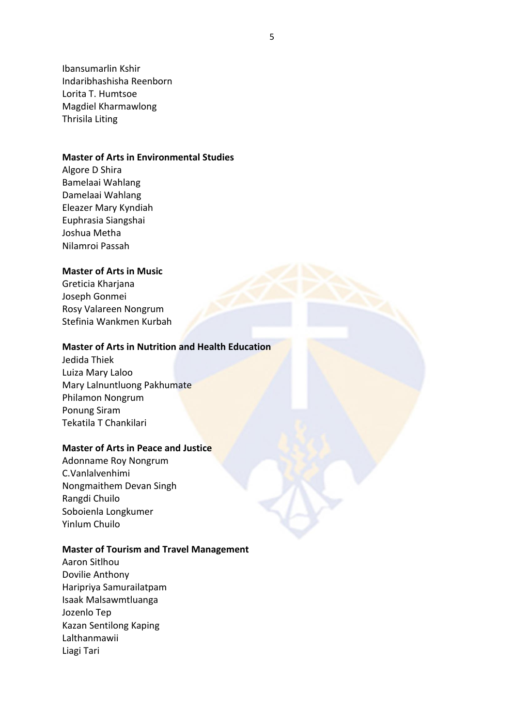Ibansumarlin Kshir Indaribhashisha Reenborn Lorita T. Humtsoe Magdiel Kharmawlong Thrisila Liting

## **Master of Arts in Environmental Studies**

Algore D Shira Bamelaai Wahlang Damelaai Wahlang Eleazer Mary Kyndiah Euphrasia Siangshai Joshua Metha Nilamroi Passah

# **Master of Arts in Music**

Greticia Kharjana Joseph Gonmei Rosy Valareen Nongrum Stefinia Wankmen Kurbah

# **Master of Arts in Nutrition and Health Education**

Jedida Thiek Luiza Mary Laloo Mary Lalnuntluong Pakhumate Philamon Nongrum Ponung Siram Tekatila T Chankilari

## **Master of Arts in Peace and Justice**

Adonname Roy Nongrum C.Vanlalvenhimi Nongmaithem Devan Singh Rangdi Chuilo Soboienla Longkumer Yinlum Chuilo

#### **Master of Tourism and Travel Management**

Aaron Sitlhou Dovilie Anthony Haripriya Samurailatpam Isaak Malsawmtluanga Jozenlo Tep Kazan Sentilong Kaping Lalthanmawii Liagi Tari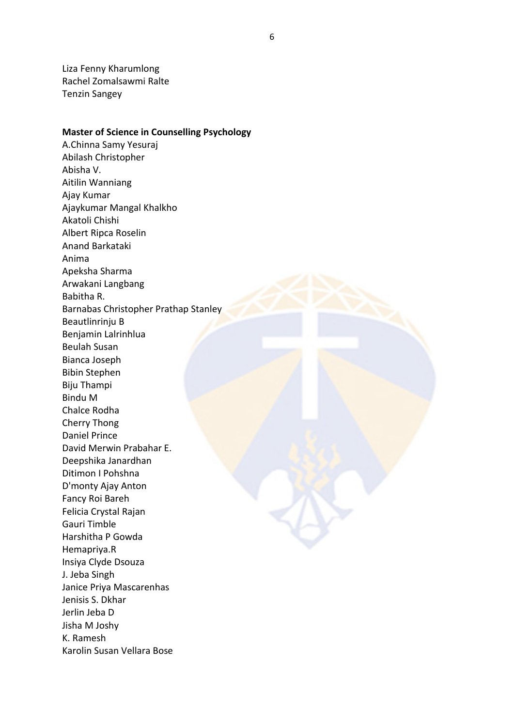Liza Fenny Kharumlong Rachel Zomalsawmi Ralte Tenzin Sangey

**Master of Science in Counselling Psychology**

A.Chinna Samy Yesuraj Abilash Christopher Abisha V. Aitilin Wanniang Ajay Kumar Ajaykumar Mangal Khalkho Akatoli Chishi Albert Ripca Roselin Anand Barkataki Anima Apeksha Sharma Arwakani Langbang Babitha R. Barnabas Christopher Prathap Stanley Beautlinrinju B Benjamin Lalrinhlua Beulah Susan Bianca Joseph Bibin Stephen Biju Thampi Bindu M Chalce Rodha Cherry Thong Daniel Prince David Merwin Prabahar E. Deepshika Janardhan Ditimon I Pohshna D'monty Ajay Anton Fancy Roi Bareh Felicia Crystal Rajan Gauri Timble Harshitha P Gowda Hemapriya.R Insiya Clyde Dsouza J. Jeba Singh Janice Priya Mascarenhas Jenisis S. Dkhar Jerlin Jeba D Jisha M Joshy K. Ramesh Karolin Susan Vellara Bose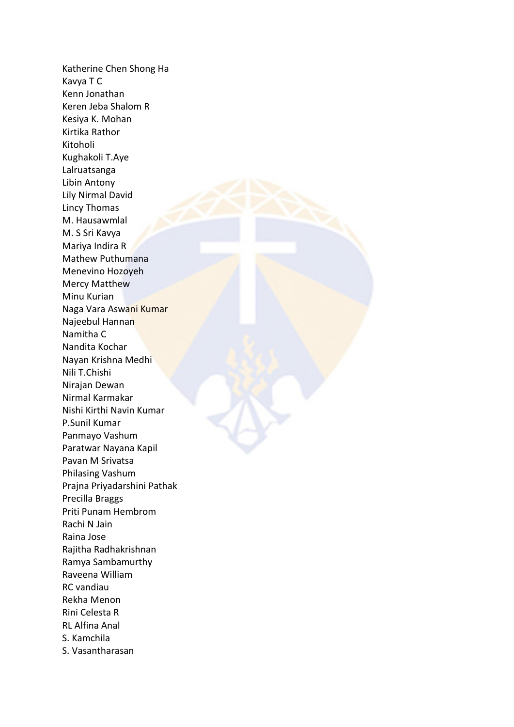Katherine Chen Shong Ha Kavya T C Kenn Jonathan Keren Jeba Shalom R Kesiya K. Mohan Kirtika Rathor Kitoholi Kughakoli T.Aye Lalruatsanga Libin Antony Lily Nirmal David Lincy Thomas M. Hausawmlal M. S Sri Kavya Mariya Indira R Mathew Puthumana Menevino Hozoyeh Mercy Matthew Minu Kurian Naga Vara Aswani Kumar Najeebul Hannan Namitha C Nandita Kochar Nayan Krishna Medhi Nili T.Chishi Nirajan Dewan Nirmal Karmakar Nishi Kirthi Navin Kumar P.Sunil Kumar Panmayo Vashum Paratwar Nayana Kapil Pavan M Srivatsa Philasing Vashum Prajna Priyadarshini Pathak Precilla Braggs Priti Punam Hembrom Rachi N Jain Raina Jose Rajitha Radhakrishnan Ramya Sambamurthy Raveena William RC vandiau Rekha Menon Rini Celesta R RL Alfina Anal S. Kamchila S. Vasantharasan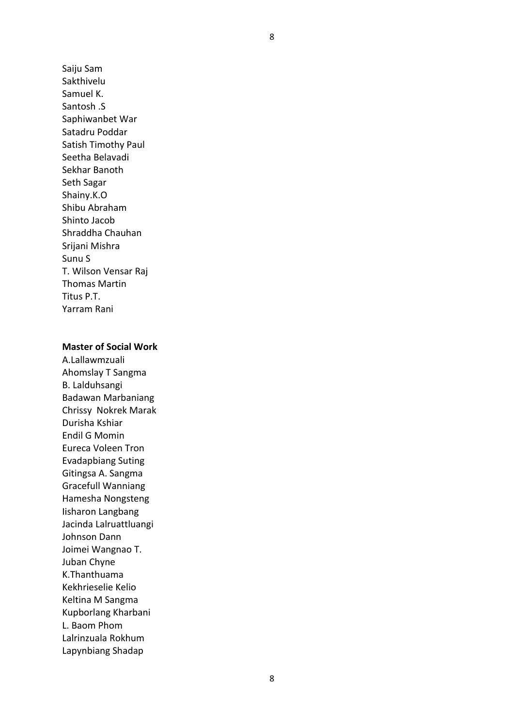Saiju Sam Sakthivelu Samuel K. Santosh .S Saphiwanbet War Satadru Poddar Satish Timothy Paul Seetha Belavadi Sekhar Banoth Seth Sagar Shainy.K.O Shibu Abraham Shinto Jacob Shraddha Chauhan Srijani Mishra Sunu S T. Wilson Vensar Raj Thomas Martin Titus P.T. Yarram Rani

# **Master of Social Work**

A.Lallawmzuali Ahomslay T Sangma B. Lalduhsangi Badawan Marbaniang Chrissy Nokrek Marak Durisha Kshiar Endil G Momin Eureca Voleen Tron Evadapbiang Suting Gitingsa A. Sangma Gracefull Wanniang Hamesha Nongsteng Iisharon Langbang Jacinda Lalruattluangi Johnson Dann Joimei Wangnao T. Juban Chyne K.Thanthuama Kekhrieselie Kelio Keltina M Sangma Kupborlang Kharbani L. Baom Phom Lalrinzuala Rokhum Lapynbiang Shadap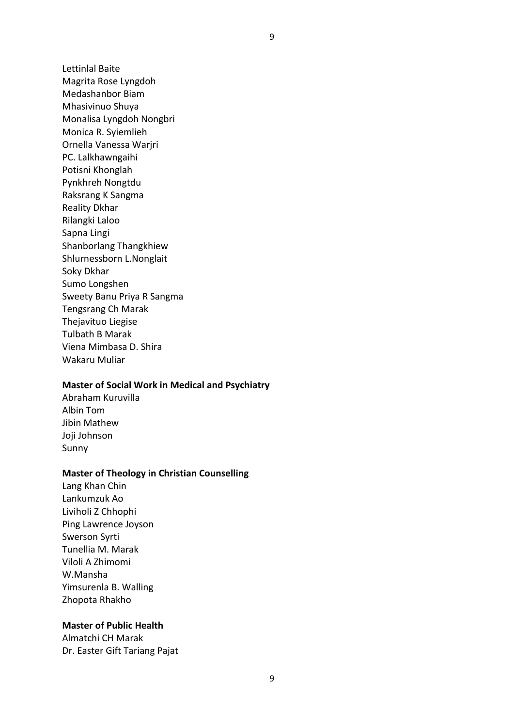Lettinlal Baite Magrita Rose Lyngdoh Medashanbor Biam Mhasivinuo Shuya Monalisa Lyngdoh Nongbri Monica R. Syiemlieh Ornella Vanessa Warjri PC. Lalkhawngaihi Potisni Khonglah Pynkhreh Nongtdu Raksrang K Sangma Reality Dkhar Rilangki Laloo Sapna Lingi Shanborlang Thangkhiew Shlurnessborn L.Nonglait Soky Dkhar Sumo Longshen Sweety Banu Priya R Sangma Tengsrang Ch Marak Thejavituo Liegise Tulbath B Marak Viena Mimbasa D. Shira Wakaru Muliar

#### **Master of Social Work in Medical and Psychiatry**

Abraham Kuruvilla Albin Tom Jibin Mathew Joji Johnson Sunny

#### **Master of Theology in Christian Counselling**

Lang Khan Chin Lankumzuk Ao Liviholi Z Chhophi Ping Lawrence Joyson Swerson Syrti Tunellia M. Marak Viloli A Zhimomi W.Mansha Yimsurenla B. Walling Zhopota Rhakho

## **Master of Public Health**

Almatchi CH Marak Dr. Easter Gift Tariang Pajat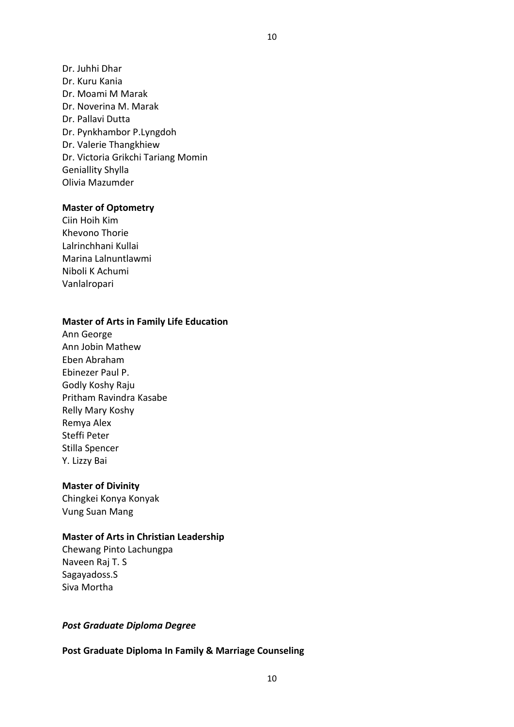Dr. Juhhi Dhar Dr. Kuru Kania Dr. Moami M Marak Dr. Noverina M. Marak Dr. Pallavi Dutta Dr. Pynkhambor P.Lyngdoh Dr. Valerie Thangkhiew Dr. Victoria Grikchi Tariang Momin Geniallity Shylla Olivia Mazumder

#### **Master of Optometry**

Ciin Hoih Kim Khevono Thorie Lalrinchhani Kullai Marina Lalnuntlawmi Niboli K Achumi Vanlalropari

## **Master of Arts in Family Life Education**

Ann George Ann Jobin Mathew Eben Abraham Ebinezer Paul P. Godly Koshy Raju Pritham Ravindra Kasabe Relly Mary Koshy Remya Alex Steffi Peter Stilla Spencer Y. Lizzy Bai

## **Master of Divinity**

Chingkei Konya Konyak Vung Suan Mang

# **Master of Arts in Christian Leadership**

Chewang Pinto Lachungpa Naveen Raj T. S Sagayadoss.S Siva Mortha

## *Post Graduate Diploma Degree*

**Post Graduate Diploma In Family & Marriage Counseling**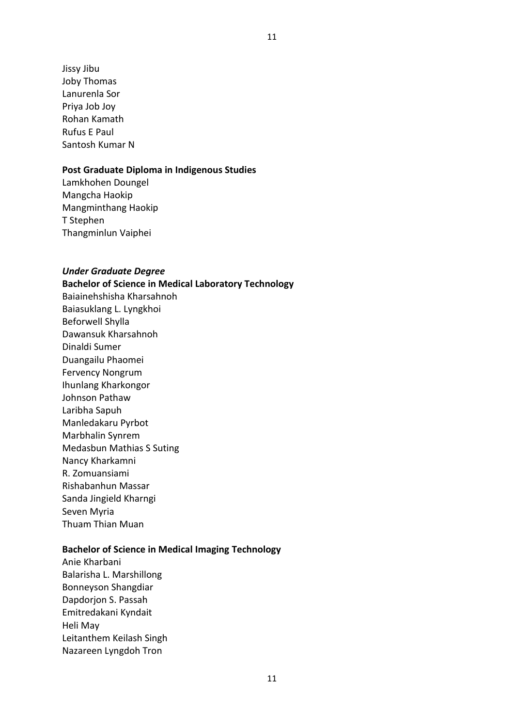Jissy Jibu Joby Thomas Lanurenla Sor Priya Job Joy Rohan Kamath Rufus E Paul Santosh Kumar N

## **Post Graduate Diploma in Indigenous Studies**

Lamkhohen Doungel Mangcha Haokip Mangminthang Haokip T Stephen Thangminlun Vaiphei

## *Under Graduate Degree*

**Bachelor of Science in Medical Laboratory Technology**

Baiainehshisha Kharsahnoh Baiasuklang L. Lyngkhoi Beforwell Shylla Dawansuk Kharsahnoh Dinaldi Sumer Duangailu Phaomei Fervency Nongrum Ihunlang Kharkongor Johnson Pathaw Laribha Sapuh Manledakaru Pyrbot Marbhalin Synrem Medasbun Mathias S Suting Nancy Kharkamni R. Zomuansiami Rishabanhun Massar Sanda Jingield Kharngi Seven Myria Thuam Thian Muan

## **Bachelor of Science in Medical Imaging Technology**

Anie Kharbani Balarisha L. Marshillong Bonneyson Shangdiar Dapdorjon S. Passah Emitredakani Kyndait Heli May Leitanthem Keilash Singh Nazareen Lyngdoh Tron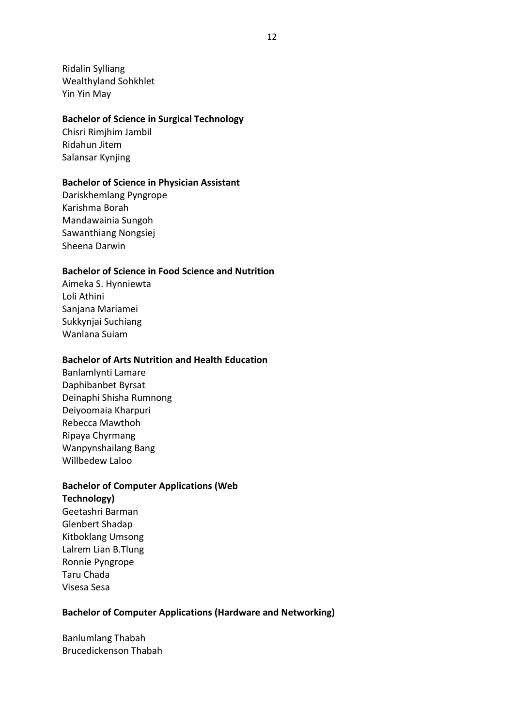Ridalin Sylliang Wealthyland Sohkhlet Yin Yin May

#### **Bachelor of Science in Surgical Technology**

Chisri Rimjhim Jambil Ridahun Jitem Salansar Kynjing

# **Bachelor of Science in Physician Assistant**

Dariskhemlang Pyngrope Karishma Borah Mandawainia Sungoh Sawanthiang Nongsiej Sheena Darwin

#### **Bachelor of Science in Food Science and Nutrition**

Aimeka S. Hynniewta Loli Athini Sanjana Mariamei Sukkynjai Suchiang Wanlana Suiam

# **Bachelor of Arts Nutrition and Health Education**

Banlamlynti Lamare Daphibanbet Byrsat Deinaphi Shisha Rumnong Deiyoomaia Kharpuri Rebecca Mawthoh Ripaya Chyrmang Wanpynshailang Bang Willbedew Laloo

## **Bachelor of Computer Applications (Web**

**Technology)** Geetashri Barman Glenbert Shadap Kitboklang Umsong Lalrem Lian B.Tlung Ronnie Pyngrope Taru Chada Visesa Sesa

## **Bachelor of Computer Applications (Hardware and Networking)**

Banlumlang Thabah Brucedickenson Thabah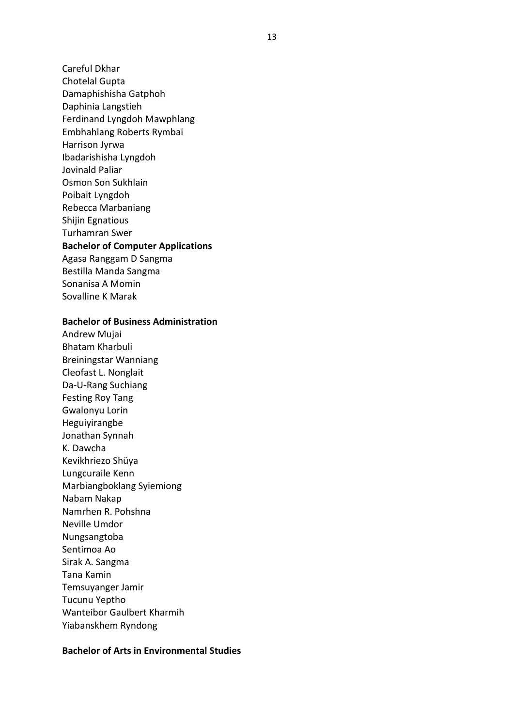Careful Dkhar

Chotelal Gupta

Damaphishisha Gatphoh

Daphinia Langstieh

Ferdinand Lyngdoh Mawphlang

Embhahlang Roberts Rymbai

Harrison Jyrwa

Ibadarishisha Lyngdoh

Jovinald Paliar

Osmon Son Sukhlain

Poibait Lyngdoh

Rebecca Marbaniang

Shijin Egnatious Turhamran Swer

**Bachelor of Computer Applications**

Agasa Ranggam D Sangma Bestilla Manda Sangma

Sonanisa A Momin

Sovalline K Marak

# **Bachelor of Business Administration**

Andrew Mujai Bhatam Kharbuli Breiningstar Wanniang Cleofast L. Nonglait Da-U-Rang Suchiang Festing Roy Tang Gwalonyu Lorin Heguiyirangbe Jonathan Synnah K. Dawcha Kevikhriezo Shüya Lungcuraile Kenn Marbiangboklang Syiemiong Nabam Nakap Namrhen R. Pohshna Neville Umdor Nungsangtoba Sentimoa Ao Sirak A. Sangma Tana Kamin Temsuyanger Jamir Tucunu Yeptho Wanteibor Gaulbert Kharmih Yiabanskhem Ryndong

## **Bachelor of Arts in Environmental Studies**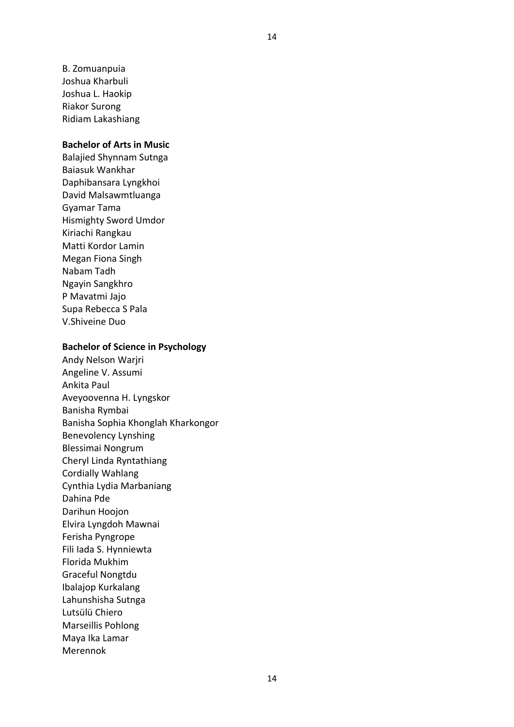B. Zomuanpuia Joshua Kharbuli Joshua L. Haokip Riakor Surong Ridiam Lakashiang

#### **Bachelor of Arts in Music**

Balajied Shynnam Sutnga Baiasuk Wankhar Daphibansara Lyngkhoi David Malsawmtluanga Gyamar Tama Hismighty Sword Umdor Kiriachi Rangkau Matti Kordor Lamin Megan Fiona Singh Nabam Tadh Ngayin Sangkhro P Mavatmi Jajo Supa Rebecca S Pala V.Shiveine Duo

#### **Bachelor of Science in Psychology**

Andy Nelson Warjri Angeline V. Assumi Ankita Paul Aveyoovenna H. Lyngskor Banisha Rymbai Banisha Sophia Khonglah Kharkongor Benevolency Lynshing Blessimai Nongrum Cheryl Linda Ryntathiang Cordially Wahlang Cynthia Lydia Marbaniang Dahina Pde Darihun Hoojon Elvira Lyngdoh Mawnai Ferisha Pyngrope Fili Iada S. Hynniewta Florida Mukhim Graceful Nongtdu Ibalajop Kurkalang Lahunshisha Sutnga Lutsülü Chiero Marseillis Pohlong Maya Ika Lamar Merennok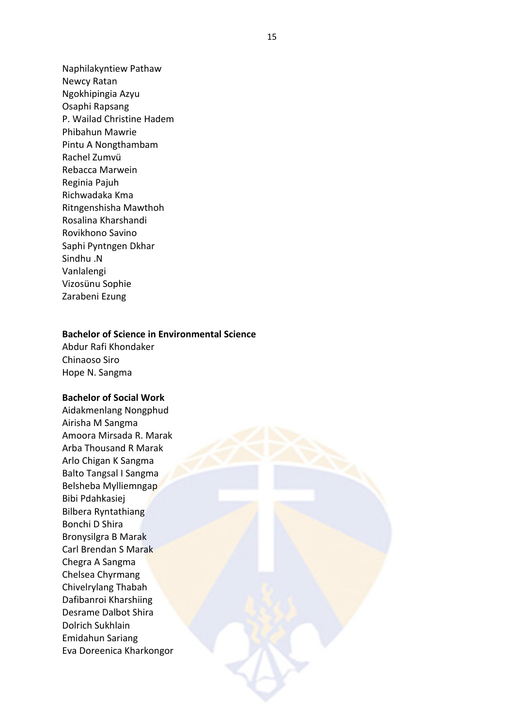Naphilakyntiew Pathaw Newcy Ratan Ngokhipingia Azyu Osaphi Rapsang P. Wailad Christine Hadem Phibahun Mawrie Pintu A Nongthambam Rachel Zumvü Rebacca Marwein Reginia Pajuh Richwadaka Kma Ritngenshisha Mawthoh Rosalina Kharshandi Rovikhono Savino Saphi Pyntngen Dkhar Sindhu .N Vanlalengi Vizosünu Sophie Zarabeni Ezung

#### **Bachelor of Science in Environmental Science**

Abdur Rafi Khondaker Chinaoso Siro Hope N. Sangma

#### **Bachelor of Social Work**

Aidakmenlang Nongphud Airisha M Sangma Amoora Mirsada R. Marak Arba Thousand R Marak Arlo Chigan K Sangma Balto Tangsal I Sangma Belsheba Mylliemngap Bibi Pdahkasiej Bilbera Ryntathiang Bonchi D Shira Bronysilgra B Marak Carl Brendan S Marak Chegra A Sangma Chelsea Chyrmang Chivelrylang Thabah Dafibanroi Kharshiing Desrame Dalbot Shira Dolrich Sukhlain Emidahun Sariang Eva Doreenica Kharkongor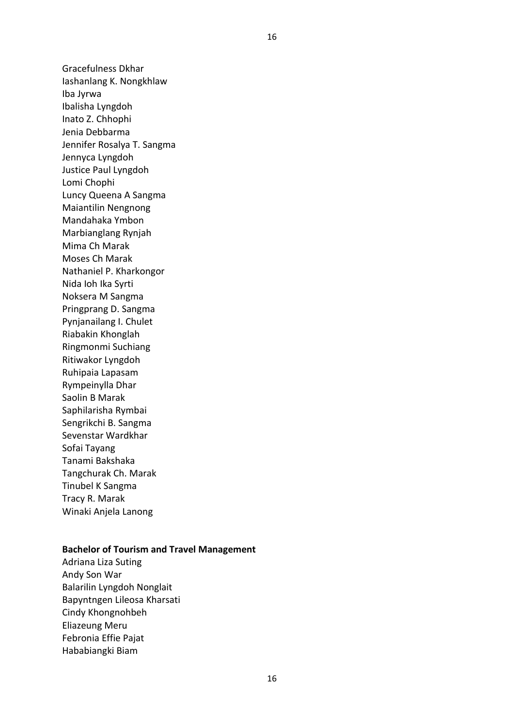Gracefulness Dkhar Iashanlang K. Nongkhlaw Iba Jyrwa Ibalisha Lyngdoh Inato Z. Chhophi Jenia Debbarma Jennifer Rosalya T. Sangma Jennyca Lyngdoh Justice Paul Lyngdoh Lomi Chophi Luncy Queena A Sangma Maiantilin Nengnong Mandahaka Ymbon Marbianglang Rynjah Mima Ch Marak Moses Ch Marak Nathaniel P. Kharkongor Nida Ioh Ika Syrti Noksera M Sangma Pringprang D. Sangma Pynjanailang I. Chulet Riabakin Khonglah Ringmonmi Suchiang Ritiwakor Lyngdoh Ruhipaia Lapasam Rympeinylla Dhar Saolin B Marak Saphilarisha Rymbai Sengrikchi B. Sangma Sevenstar Wardkhar Sofai Tayang Tanami Bakshaka Tangchurak Ch. Marak Tinubel K Sangma Tracy R. Marak Winaki Anjela Lanong

#### **Bachelor of Tourism and Travel Management**

Adriana Liza Suting Andy Son War Balarilin Lyngdoh Nonglait Bapyntngen Lileosa Kharsati Cindy Khongnohbeh Eliazeung Meru Febronia Effie Pajat Hababiangki Biam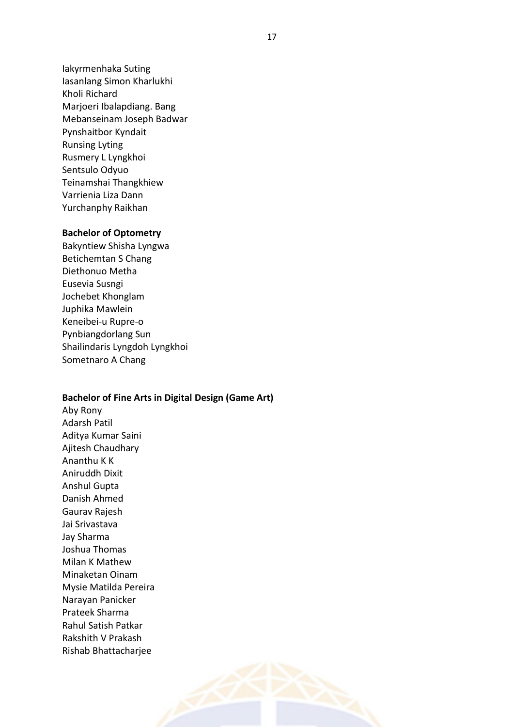Iakyrmenhaka Suting Iasanlang Simon Kharlukhi Kholi Richard Marjoeri Ibalapdiang. Bang Mebanseinam Joseph Badwar Pynshaitbor Kyndait Runsing Lyting Rusmery L Lyngkhoi Sentsulo Odyuo Teinamshai Thangkhiew Varrienia Liza Dann Yurchanphy Raikhan

#### **Bachelor of Optometry**

Bakyntiew Shisha Lyngwa Betichemtan S Chang Diethonuo Metha Eusevia Susngi Jochebet Khonglam Juphika Mawlein Keneibei-u Rupre-o Pynbiangdorlang Sun Shailindaris Lyngdoh Lyngkhoi Sometnaro A Chang

#### **Bachelor of Fine Arts in Digital Design (Game Art)**

Aby Rony Adarsh Patil Aditya Kumar Saini Ajitesh Chaudhary Ananthu K K Aniruddh Dixit Anshul Gupta Danish Ahmed Gaurav Rajesh Jai Srivastava Jay Sharma Joshua Thomas Milan K Mathew Minaketan Oinam Mysie Matilda Pereira Narayan Panicker Prateek Sharma Rahul Satish Patkar Rakshith V Prakash Rishab Bhattacharjee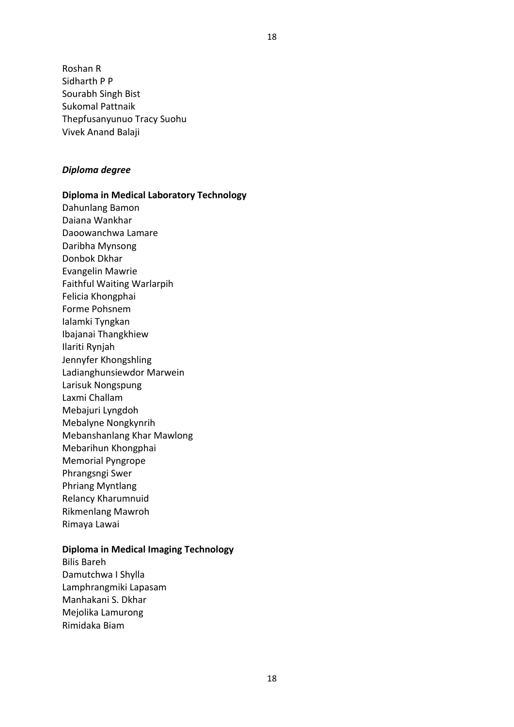Roshan R Sidharth P P Sourabh Singh Bist Sukomal Pattnaik Thepfusanyunuo Tracy Suohu Vivek Anand Balaji

## *Diploma degree*

# **Diploma in Medical Laboratory Technology**

Dahunlang Bamon Daiana Wankhar Daoowanchwa Lamare Daribha Mynsong Donbok Dkhar Evangelin Mawrie Faithful Waiting Warlarpih Felicia Khongphai Forme Pohsnem Ialamki Tyngkan Ibajanai Thangkhiew Ilariti Rynjah Jennyfer Khongshling Ladianghunsiewdor Marwein Larisuk Nongspung Laxmi Challam Mebajuri Lyngdoh Mebalyne Nongkynrih Mebanshanlang Khar Mawlong Mebarihun Khongphai Memorial Pyngrope Phrangsngi Swer Phriang Myntlang Relancy Kharumnuid Rikmenlang Mawroh Rimaya Lawai

#### **Diploma in Medical Imaging Technology**

Bilis Bareh Damutchwa I Shylla Lamphrangmiki Lapasam Manhakani S. Dkhar Mejolika Lamurong Rimidaka Biam